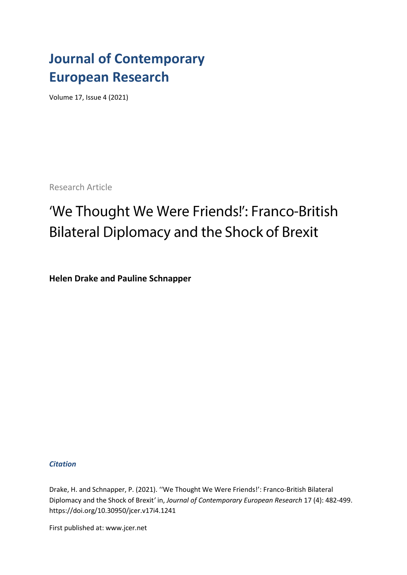## **Journal of Contemporary European Research**

Volume 17, Issue 4 (2021)

Research Article

# 'We Thought We Were Friends!': Franco-British **Bilateral Diplomacy and the Shock of Brexit**

**Helen Drake and Pauline Schnapper**

## *Citation*

Drake, H. and Schnapper, P. (2021). ''We Thought We Were Friends!': Franco-British Bilateral Diplomacy and the Shock of Brexit*'* in, *Journal of Contemporary European Research* 17 (4): 482-499. [https://doi.org/1](https://doi.org/)0.30950/jcer.v17i4.1241

First published at: www.jcer.net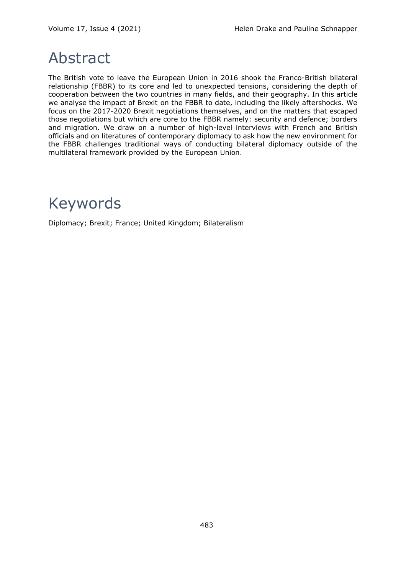## Abstract

The British vote to leave the European Union in 2016 shook the Franco-British bilateral relationship (FBBR) to its core and led to unexpected tensions, considering the depth of cooperation between the two countries in many fields, and their geography. In this article we analyse the impact of Brexit on the FBBR to date, including the likely aftershocks. We focus on the 2017-2020 Brexit negotiations themselves, and on the matters that escaped those negotiations but which are core to the FBBR namely: security and defence; borders and migration. We draw on a number of high-level interviews with French and British officials and on literatures of contemporary diplomacy to ask how the new environment for the FBBR challenges traditional ways of conducting bilateral diplomacy outside of the multilateral framework provided by the European Union.

## Keywords

Diplomacy; Brexit; France; United Kingdom; Bilateralism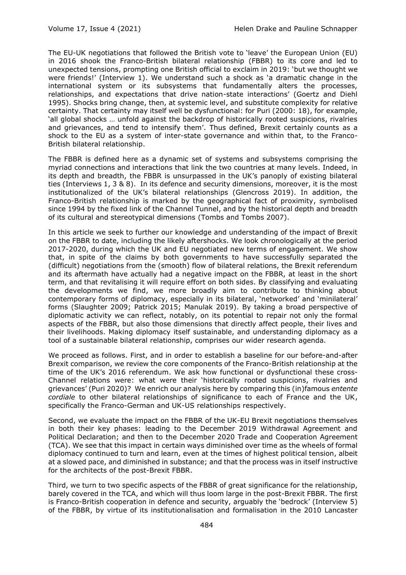The EU-UK negotiations that followed the British vote to 'leave' the European Union (EU) in 2016 shook the Franco-British bilateral relationship (FBBR) to its core and led to unexpected tensions, prompting one British official to exclaim in 2019: 'but we thought we were friends!' (Interview 1). We understand such a shock as 'a dramatic change in the international system or its subsystems that fundamentally alters the processes, relationships, and expectations that drive nation-state interactions' (Goertz and Diehl 1995). Shocks bring change, then, at systemic level, and substitute complexity for relative certainty. That certainty may itself well be dysfunctional: for Puri (2000: 18), for example, 'all global shocks … unfold against the backdrop of historically rooted suspicions, rivalries and grievances, and tend to intensify them'. Thus defined, Brexit certainly counts as a shock to the EU as a system of inter-state governance and within that, to the Franco-British bilateral relationship.

The FBBR is defined here as a dynamic set of systems and subsystems comprising the myriad connections and interactions that link the two countries at many levels. Indeed, in its depth and breadth, the FBBR is unsurpassed in the UK's panoply of existing bilateral ties (Interviews 1, 3 & 8). In its defence and security dimensions, moreover, it is the most institutionalized of the UK's bilateral relationships (Glencross 2019). In addition, the Franco-British relationship is marked by the geographical fact of proximity, symbolised since 1994 by the fixed link of the Channel Tunnel, and by the historical depth and breadth of its cultural and stereotypical dimensions (Tombs and Tombs 2007).

In this article we seek to further our knowledge and understanding of the impact of Brexit on the FBBR to date, including the likely aftershocks. We look chronologically at the period 2017-2020, during which the UK and EU negotiated new terms of engagement. We show that, in spite of the claims by both governments to have successfully separated the (difficult) negotiations from the (smooth) flow of bilateral relations, the Brexit referendum and its aftermath have actually had a negative impact on the FBBR, at least in the short term, and that revitalising it will require effort on both sides. By classifying and evaluating the developments we find, we more broadly aim to contribute to thinking about contemporary forms of diplomacy, especially in its bilateral, 'networked' and 'minilateral' forms (Slaughter 2009; Patrick 2015; Manulak 2019). By taking a broad perspective of diplomatic activity we can reflect, notably, on its potential to repair not only the formal aspects of the FBBR, but also those dimensions that directly affect people, their lives and their livelihoods. Making diplomacy itself sustainable, and understanding diplomacy as a tool of a sustainable bilateral relationship, comprises our wider research agenda.

We proceed as follows. First, and in order to establish a baseline for our before-and-after Brexit comparison, we review the core components of the Franco-British relationship at the time of the UK's 2016 referendum. We ask how functional or dysfunctional these cross-Channel relations were: what were their 'historically rooted suspicions, rivalries and grievances' (Puri 2020)? We enrich our analysis here by comparing this (in)famous *entente cordiale* to other bilateral relationships of significance to each of France and the UK, specifically the Franco-German and UK-US relationships respectively.

Second, we evaluate the impact on the FBBR of the UK-EU Brexit negotiations themselves in both their key phases: leading to the December 2019 Withdrawal Agreement and Political Declaration; and then to the December 2020 Trade and Cooperation Agreement (TCA). We see that this impact in certain ways diminished over time as the wheels of formal diplomacy continued to turn and learn, even at the times of highest political tension, albeit at a slowed pace, and diminished in substance; and that the process was in itself instructive for the architects of the post-Brexit FBBR.

Third, we turn to two specific aspects of the FBBR of great significance for the relationship, barely covered in the TCA, and which will thus loom large in the post-Brexit FBBR. The first is Franco-British cooperation in defence and security, arguably the 'bedrock' (Interview 5) of the FBBR, by virtue of its institutionalisation and formalisation in the 2010 Lancaster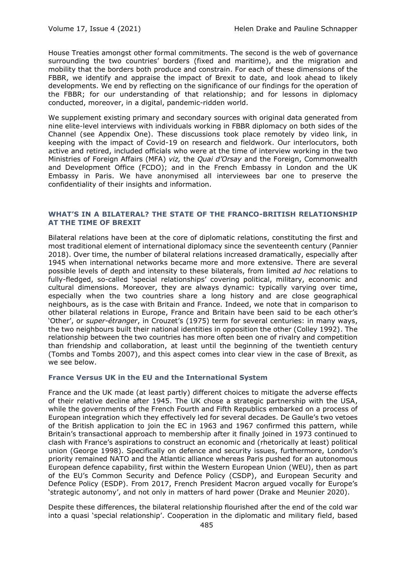House Treaties amongst other formal commitments. The second is the web of governance surrounding the two countries' borders (fixed and maritime), and the migration and mobility that the borders both produce and constrain. For each of these dimensions of the FBBR, we identify and appraise the impact of Brexit to date, and look ahead to likely developments. We end by reflecting on the significance of our findings for the operation of the FBBR; for our understanding of that relationship; and for lessons in diplomacy conducted, moreover, in a digital, pandemic-ridden world.

We supplement existing primary and secondary sources with original data generated from nine elite-level interviews with individuals working in FBBR diplomacy on both sides of the Channel (see Appendix One). These discussions took place remotely by video link, in keeping with the impact of Covid-19 on research and fieldwork. Our interlocutors, both active and retired, included officials who were at the time of interview working in the two Ministries of Foreign Affairs (MFA) *viz,* the *Quai d'Orsay* and the Foreign, Commonwealth and Development Office (FCDO); and in the French Embassy in London and the UK Embassy in Paris. We have anonymised all interviewees bar one to preserve the confidentiality of their insights and information.

## **WHAT'S IN A BILATERAL? THE STATE OF THE FRANCO-BRITISH RELATIONSHIP AT THE TIME OF BREXIT**

Bilateral relations have been at the core of diplomatic relations, constituting the first and most traditional element of international diplomacy since the seventeenth century (Pannier 2018). Over time, the number of bilateral relations increased dramatically, especially after 1945 when international networks became more and more extensive. There are several possible levels of depth and intensity to these bilaterals, from limited *ad hoc* relations to fully-fledged, so-called 'special relationships' covering political, military, economic and cultural dimensions. Moreover, they are always dynamic: typically varying over time, especially when the two countries share a long history and are close geographical neighbours, as is the case with Britain and France. Indeed, we note that in comparison to other bilateral relations in Europe, France and Britain have been said to be each other's 'Other', or *super-étranger*, in Crouzet's (1975) term for several centuries: in many ways, the two neighbours built their national identities in opposition the other (Colley 1992). The relationship between the two countries has more often been one of rivalry and competition than friendship and collaboration, at least until the beginning of the twentieth century (Tombs and Tombs 2007), and this aspect comes into clear view in the case of Brexit, as we see below.

## **France Versus UK in the EU and the International System**

France and the UK made (at least partly) different choices to mitigate the adverse effects of their relative decline after 1945. The UK chose a strategic partnership with the USA, while the governments of the French Fourth and Fifth Republics embarked on a process of European integration which they effectively led for several decades. De Gaulle's two vetoes of the British application to join the EC in 1963 and 1967 confirmed this pattern, while Britain's transactional approach to membership after it finally joined in 1973 continued to clash with France's aspirations to construct an economic and (rhetorically at least) political union (George 1998). Specifically on defence and security issues, furthermore, London's priority remained NATO and the Atlantic alliance whereas Paris pushed for an autonomous European defence capability, first within the Western European Union (WEU), then as part of the EU's Common Security and Defence Policy (CSDP), and European Security and Defence Policy (ESDP). From 2017, French President Macron argued vocally for Europe's 'strategic autonomy', and not only in matters of hard power (Drake and Meunier 2020).

Despite these differences, the bilateral relationship flourished after the end of the cold war into a quasi 'special relationship'. Cooperation in the diplomatic and military field, based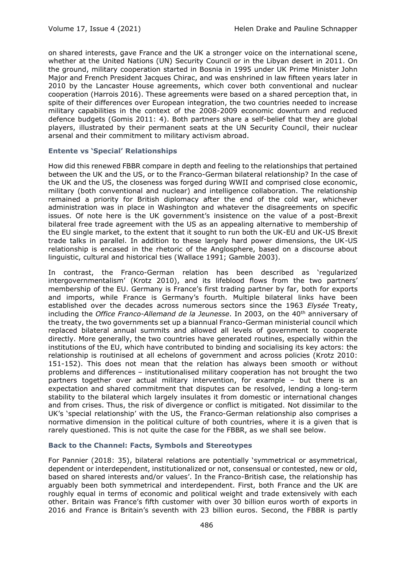on shared interests, gave France and the UK a stronger voice on the international scene, whether at the United Nations (UN) Security Council or in the Libyan desert in 2011. On the ground, military cooperation started in Bosnia in 1995 under UK Prime Minister John Major and French President Jacques Chirac, and was enshrined in law fifteen years later in 2010 by the Lancaster House agreements, which cover both conventional and nuclear cooperation (Harrois 2016). These agreements were based on a shared perception that, in spite of their differences over European integration, the two countries needed to increase military capabilities in the context of the 2008-2009 economic downturn and reduced defence budgets (Gomis 2011: 4). Both partners share a self-belief that they are global players, illustrated by their permanent seats at the UN Security Council, their nuclear arsenal and their commitment to military activism abroad.

## **Entente vs 'Special' Relationships**

How did this renewed FBBR compare in depth and feeling to the relationships that pertained between the UK and the US, or to the Franco-German bilateral relationship? In the case of the UK and the US, the closeness was forged during WWII and comprised close economic, military (both conventional and nuclear) and intelligence collaboration. The relationship remained a priority for British diplomacy after the end of the cold war, whichever administration was in place in Washington and whatever the disagreements on specific issues. Of note here is the UK government's insistence on the value of a post-Brexit bilateral free trade agreement with the US as an appealing alternative to membership of the EU single market, to the extent that it sought to run both the UK-EU and UK-US Brexit trade talks in parallel. In addition to these largely hard power dimensions, the UK-US relationship is encased in the rhetoric of the Anglosphere, based on a discourse about linguistic, cultural and historical ties (Wallace 1991; Gamble 2003).

In contrast, the Franco-German relation has been described as 'regularized intergovernmentalism' (Krotz 2010), and its lifeblood flows from the two partners' membership of the EU. Germany is France's first trading partner by far, both for exports and imports, while France is Germany's fourth. Multiple bilateral links have been established over the decades across numerous sectors since the 1963 *Elysée* Treaty, including the *Office Franco-Allemand de la Jeunesse*. In 2003, on the 40<sup>th</sup> anniversary of the treaty, the two governments set up a biannual Franco-German ministerial council which replaced bilateral annual summits and allowed all levels of government to cooperate directly. More generally, the two countries have generated routines, especially within the institutions of the EU, which have contributed to binding and socialising its key actors: the relationship is routinised at all echelons of government and across policies (Krotz 2010: 151-152). This does not mean that the relation has always been smooth or without problems and differences – institutionalised military cooperation has not brought the two partners together over actual military intervention, for example – but there is an expectation and shared commitment that disputes can be resolved, lending a long-term stability to the bilateral which largely insulates it from domestic or international changes and from crises. Thus, the risk of divergence or conflict is mitigated. Not dissimilar to the UK's 'special relationship' with the US, the Franco-German relationship also comprises a normative dimension in the political culture of both countries, where it is a given that is rarely questioned. This is not quite the case for the FBBR, as we shall see below.

## **Back to the Channel: Facts, Symbols and Stereotypes**

For Pannier (2018: 35), bilateral relations are potentially 'symmetrical or asymmetrical, dependent or interdependent, institutionalized or not, consensual or contested, new or old, based on shared interests and/or values'. In the Franco-British case, the relationship has arguably been both symmetrical and interdependent. First, both France and the UK are roughly equal in terms of economic and political weight and trade extensively with each other. Britain was France's fifth customer with over 30 billion euros worth of exports in 2016 and France is Britain's seventh with 23 billion euros. Second, the FBBR is partly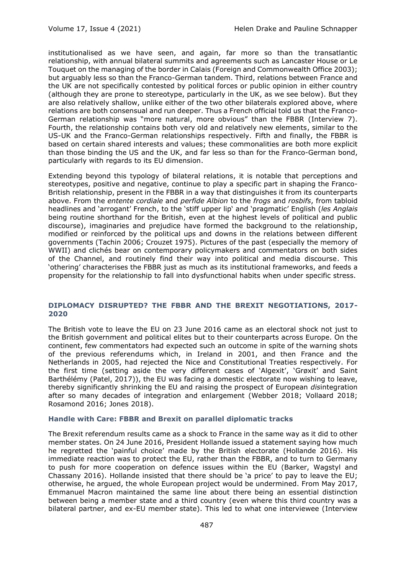institutionalised as we have seen, and again, far more so than the transatlantic relationship, with annual bilateral summits and agreements such as Lancaster House or Le Touquet on the managing of the border in Calais (Foreign and Commonwealth Office 2003); but arguably less so than the Franco-German tandem. Third, relations between France and the UK are not specifically contested by political forces or public opinion in either country (although they are prone to stereotype, particularly in the UK, as we see below). But they are also relatively shallow, unlike either of the two other bilaterals explored above, where relations are both consensual and run deeper. Thus a French official told us that the Franco-German relationship was "more natural, more obvious" than the FBBR (Interview 7). Fourth, the relationship contains both very old and relatively new elements, similar to the US-UK and the Franco-German relationships respectively. Fifth and finally, the FBBR is based on certain shared interests and values; these commonalities are both more explicit than those binding the US and the UK, and far less so than for the Franco-German bond, particularly with regards to its EU dimension.

Extending beyond this typology of bilateral relations, it is notable that perceptions and stereotypes, positive and negative, continue to play a specific part in shaping the Franco-British relationship, present in the FBBR in a way that distinguishes it from its counterparts above. From the *entente cordiale* and *perfide Albion* to the *frogs* and *rosbifs*, from tabloid headlines and 'arrogant' French, to the 'stiff upper lip' and 'pragmatic' English (*les Anglais*  being routine shorthand for the British, even at the highest levels of political and public discourse), imaginaries and prejudice have formed the background to the relationship, modified or reinforced by the political ups and downs in the relations between different governments (Tachin 2006; Crouzet 1975). Pictures of the past (especially the memory of WWII) and clichés bear on contemporary policymakers and commentators on both sides of the Channel, and routinely find their way into political and media discourse. This 'othering' characterises the FBBR just as much as its institutional frameworks, and feeds a propensity for the relationship to fall into dysfunctional habits when under specific stress.

## **DIPLOMACY DISRUPTED? THE FBBR AND THE BREXIT NEGOTIATIONS, 2017- 2020**

The British vote to leave the EU on 23 June 2016 came as an electoral shock not just to the British government and political elites but to their counterparts across Europe. On the continent, few commentators had expected such an outcome in spite of the warning shots of the previous referendums which, in Ireland in 2001, and then France and the Netherlands in 2005, had rejected the Nice and Constitutional Treaties respectively. For the first time (setting aside the very different cases of 'Algexit', 'Grøxit' and Saint Barthélémy (Patel, 2017)), the EU was facing a domestic electorate now wishing to leave, thereby significantly shrinking the EU and raising the prospect of European *dis*integration after so many decades of integration and enlargement (Webber 2018; Vollaard 2018; Rosamond 2016; Jones 2018).

### **Handle with Care: FBBR and Brexit on parallel diplomatic tracks**

The Brexit referendum results came as a shock to France in the same way as it did to other member states. On 24 June 2016, President Hollande issued a statement saying how much he regretted the 'painful choice' made by the British electorate (Hollande 2016). His immediate reaction was to protect the EU, rather than the FBBR, and to turn to Germany to push for more cooperation on defence issues within the EU (Barker, Wagstyl and Chassany 2016). Hollande insisted that there should be 'a price' to pay to leave the EU; otherwise, he argued, the whole European project would be undermined. From May 2017, Emmanuel Macron maintained the same line about there being an essential distinction between being a member state and a third country (even where this third country was a bilateral partner, and ex-EU member state). This led to what one interviewee (Interview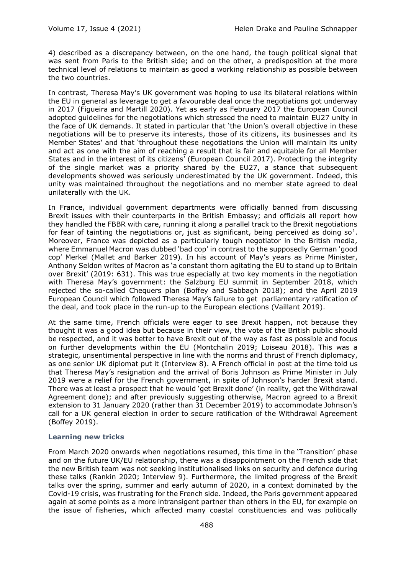4) described as a discrepancy between, on the one hand, the tough political signal that was sent from Paris to the British side; and on the other, a predisposition at the more technical level of relations to maintain as good a working relationship as possible between the two countries.

In contrast, Theresa May's UK government was hoping to use its bilateral relations within the EU in general as leverage to get a favourable deal once the negotiations got underway in 2017 (Figueira and Martill 2020). Yet as early as February 2017 the European Council adopted guidelines for the negotiations which stressed the need to maintain EU27 unity in the face of UK demands. It stated in particular that 'the Union's overall objective in these negotiations will be to preserve its interests, those of its citizens, its businesses and its Member States' and that 'throughout these negotiations the Union will maintain its unity and act as one with the aim of reaching a result that is fair and equitable for all Member States and in the interest of its citizens' (European Council 2017). Protecting the integrity of the single market was a priority shared by the EU27, a stance that subsequent developments showed was seriously underestimated by the UK government. Indeed, this unity was maintained throughout the negotiations and no member state agreed to deal unilaterally with the UK.

In France, individual government departments were officially banned from discussing Brexit issues with their counterparts in the British Embassy; and officials all report how they handled the FBBR with care, running it along a parallel track to the Brexit negotiations for fear of tainting the negotiations or, just as significant, being perceived as doing so<sup>1</sup>. Moreover, France was depicted as a particularly tough negotiator in the British media, where Emmanuel Macron was dubbed 'bad cop' in contrast to the supposedly German 'good cop' Merkel (Mallet and Barker 2019). In his account of May's years as Prime Minister, Anthony Seldon writes of Macron as 'a constant thorn agitating the EU to stand up to Britain over Brexit' (2019: 631). This was true especially at two key moments in the negotiation with Theresa May's government: the Salzburg EU summit in September 2018, which rejected the so-called Chequers plan (Boffey and Sabbagh 2018); and the April 2019 European Council which followed Theresa May's failure to get parliamentary ratification of the deal, and took place in the run-up to the European elections (Vaillant 2019).

At the same time, French officials were eager to see Brexit happen, not because they thought it was a good idea but because in their view, the vote of the British public should be respected, and it was better to have Brexit out of the way as fast as possible and focus on further developments within the EU (Montchalin 2019; Loiseau 2018). This was a strategic, unsentimental perspective in line with the norms and thrust of French diplomacy, as one senior UK diplomat put it (Interview 8). A French official in post at the time told us that Theresa May's resignation and the arrival of Boris Johnson as Prime Minister in July 2019 were a relief for the French government, in spite of Johnson's harder Brexit stand. There was at least a prospect that he would 'get Brexit done' (in reality, get the Withdrawal Agreement done); and after previously suggesting otherwise, Macron agreed to a Brexit extension to 31 January 2020 (rather than 31 December 2019) to accommodate Johnson's call for a UK general election in order to secure ratification of the Withdrawal Agreement (Boffey 2019).

## **Learning new tricks**

From March 2020 onwards when negotiations resumed, this time in the 'Transition' phase and on the future UK/EU relationship, there was a disappointment on the French side that the new British team was not seeking institutionalised links on security and defence during these talks (Rankin 2020; Interview 9). Furthermore, the limited progress of the Brexit talks over the spring, summer and early autumn of 2020, in a context dominated by the Covid-19 crisis, was frustrating for the French side. Indeed, the Paris government appeared again at some points as a more intransigent partner than others in the EU, for example on the issue of fisheries, which affected many coastal constituencies and was politically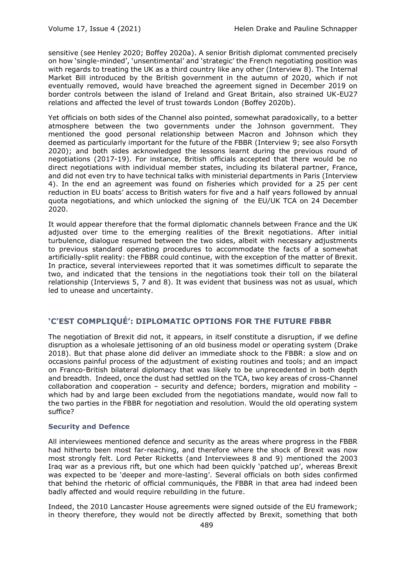sensitive (see Henley 2020; Boffey 2020a). A senior British diplomat commented precisely on how 'single-minded', 'unsentimental' and 'strategic' the French negotiating position was with regards to treating the UK as a third country like any other (Interview 8). The Internal Market Bill introduced by the British government in the autumn of 2020, which if not eventually removed, would have breached the agreement signed in December 2019 on border controls between the island of Ireland and Great Britain, also strained UK-EU27 relations and affected the level of trust towards London (Boffey 2020b).

Yet officials on both sides of the Channel also pointed, somewhat paradoxically, to a better atmosphere between the two governments under the Johnson government. They mentioned the good personal relationship between Macron and Johnson which they deemed as particularly important for the future of the FBBR (Interview 9; see also Forsyth 2020); and both sides acknowledged the lessons learnt during the previous round of negotiations (2017-19). For instance, British officials accepted that there would be no direct negotiations with individual member states, including its bilateral partner, France, and did not even try to have technical talks with ministerial departments in Paris (Interview 4). In the end an agreement was found on fisheries which provided for a 25 per cent reduction in EU boats' access to British waters for five and a half years followed by annual quota negotiations, and which unlocked the signing of the EU/UK TCA on 24 December 2020.

It would appear therefore that the formal diplomatic channels between France and the UK adjusted over time to the emerging realities of the Brexit negotiations. After initial turbulence, dialogue resumed between the two sides, albeit with necessary adjustments to previous standard operating procedures to accommodate the facts of a somewhat artificially-split reality: the FBBR could continue, with the exception of the matter of Brexit. In practice, several interviewees reported that it was sometimes difficult to separate the two, and indicated that the tensions in the negotiations took their toll on the bilateral relationship (Interviews 5, 7 and 8). It was evident that business was not as usual, which led to unease and uncertainty.

## **'C'EST COMPLIQUÉ': DIPLOMATIC OPTIONS FOR THE FUTURE FBBR**

The negotiation of Brexit did not, it appears, in itself constitute a disruption, if we define disruption as a wholesale jettisoning of an old business model or operating system (Drake 2018). But that phase alone did deliver an immediate shock to the FBBR: a slow and on occasions painful process of the adjustment of existing routines and tools; and an impact on Franco-British bilateral diplomacy that was likely to be unprecedented in both depth and breadth. Indeed, once the dust had settled on the TCA, two key areas of cross-Channel collaboration and cooperation – security and defence; borders, migration and mobility – which had by and large been excluded from the negotiations mandate, would now fall to the two parties in the FBBR for negotiation and resolution. Would the old operating system suffice?

## **Security and Defence**

All interviewees mentioned defence and security as the areas where progress in the FBBR had hitherto been most far-reaching, and therefore where the shock of Brexit was now most strongly felt. Lord Peter Ricketts (and Interviewees 8 and 9) mentioned the 2003 Iraq war as a previous rift, but one which had been quickly 'patched up', whereas Brexit was expected to be 'deeper and more-lasting'. Several officials on both sides confirmed that behind the rhetoric of official communiqués, the FBBR in that area had indeed been badly affected and would require rebuilding in the future.

Indeed, the 2010 Lancaster House agreements were signed outside of the EU framework; in theory therefore, they would not be directly affected by Brexit, something that both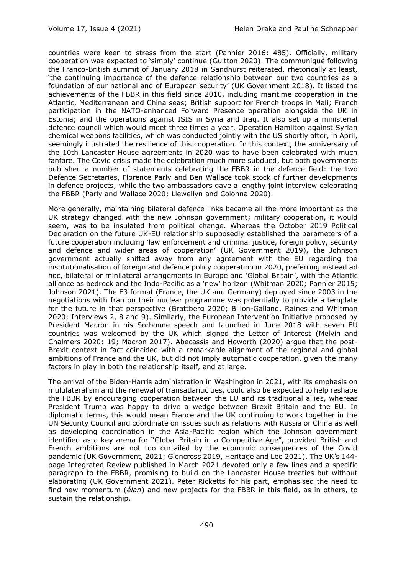countries were keen to stress from the start (Pannier 2016: 485). Officially, military cooperation was expected to 'simply' continue (Guitton 2020). The communiqué following the Franco-British summit of January 2018 in Sandhurst reiterated, rhetorically at least, 'the continuing importance of the defence relationship between our two countries as a foundation of our national and of European security' (UK Government 2018). It listed the achievements of the FBBR in this field since 2010, including maritime cooperation in the Atlantic, Mediterranean and China seas; British support for French troops in Mali; French participation in the NATO-enhanced Forward Presence operation alongside the UK in Estonia; and the operations against ISIS in Syria and Iraq. It also set up a ministerial defence council which would meet three times a year. Operation Hamilton against Syrian chemical weapons facilities, which was conducted jointly with the US shortly after, in April, seemingly illustrated the resilience of this cooperation. In this context, the anniversary of the 10th Lancaster House agreements in 2020 was to have been celebrated with much fanfare. The Covid crisis made the celebration much more subdued, but both governments published a number of statements celebrating the FBBR in the defence field: the two Defence Secretaries, Florence Parly and Ben Wallace took stock of further developments in defence projects; while the two ambassadors gave a lengthy joint interview celebrating the FBBR (Parly and Wallace 2020; Llewellyn and Colonna 2020).

More generally, maintaining bilateral defence links became all the more important as the UK strategy changed with the new Johnson government; military cooperation, it would seem, was to be insulated from political change. Whereas the October 2019 Political Declaration on the future UK-EU relationship supposedly established the parameters of a future cooperation including 'law enforcement and criminal justice, foreign policy, security and defence and wider areas of cooperation' (UK Government 2019), the Johnson government actually shifted away from any agreement with the EU regarding the institutionalisation of foreign and defence policy cooperation in 2020, preferring instead ad hoc, bilateral or minilateral arrangements in Europe and 'Global Britain', with the Atlantic alliance as bedrock and the Indo-Pacific as a 'new' horizon (Whitman 2020; Pannier 2015; Johnson 2021). The E3 format (France, the UK and Germany) deployed since 2003 in the negotiations with Iran on their nuclear programme was potentially to provide a template for the future in that perspective (Brattberg 2020; Billon-Galland. Raines and Whitman 2020; Interviews 2, 8 and 9). Similarly, the European Intervention Initiative proposed by President Macron in his Sorbonne speech and launched in June 2018 with seven EU countries was welcomed by the UK which signed the Letter of Interest (Melvin and Chalmers 2020: 19; Macron 2017). Abecassis and Howorth (2020) argue that the post-Brexit context in fact coincided with a remarkable alignment of the regional and global ambitions of France and the UK, but did not imply automatic cooperation, given the many factors in play in both the relationship itself, and at large.

The arrival of the Biden-Harris administration in Washington in 2021, with its emphasis on multilateralism and the renewal of transatlantic ties, could also be expected to help reshape the FBBR by encouraging cooperation between the EU and its traditional allies, whereas President Trump was happy to drive a wedge between Brexit Britain and the EU. In diplomatic terms, this would mean France and the UK continuing to work together in the UN Security Council and coordinate on issues such as relations with Russia or China as well as developing coordination in the Asia-Pacific region which the Johnson government identified as a key arena for "Global Britain in a Competitive Age", provided British and French ambitions are not too curtailed by the economic consequences of the Covid pandemic (UK Government, 2021; Glencross 2019, Heritage and Lee 2021). The UK's 144 page Integrated Review published in March 2021 devoted only a few lines and a specific paragraph to the FBBR, promising to build on the Lancaster House treaties but without elaborating (UK Government 2021). Peter Ricketts for his part, emphasised the need to find new momentum (*élan*) and new projects for the FBBR in this field, as in others, to sustain the relationship.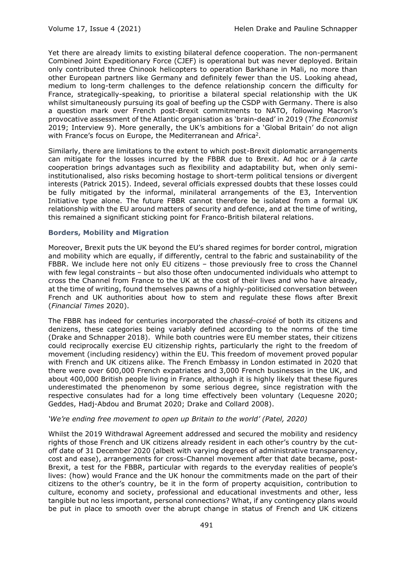Yet there are already limits to existing bilateral defence cooperation. The non-permanent Combined Joint Expeditionary Force (CJEF) is operational but was never deployed. Britain only contributed three Chinook helicopters to operation Barkhane in Mali, no more than other European partners like Germany and definitely fewer than the US. Looking ahead, medium to long-term challenges to the defence relationship concern the difficulty for France, strategically-speaking, to prioritise a bilateral special relationship with the UK whilst simultaneously pursuing its goal of beefing up the CSDP with Germany. There is also a question mark over French post-Brexit commitments to NATO, following Macron's provocative assessment of the Atlantic organisation as 'brain-dead' in 2019 (*The Economist* 2019; Interview 9). More generally, the UK's ambitions for a 'Global Britain' do not align with France's focus on Europe, the Mediterranean and Africa<sup>2</sup>.

Similarly, there are limitations to the extent to which post-Brexit diplomatic arrangements can mitigate for the losses incurred by the FBBR due to Brexit. Ad hoc or *à la carte*  cooperation brings advantages such as flexibility and adaptability but, when only semiinstitutionalised, also risks becoming hostage to short-term political tensions or divergent interests (Patrick 2015). Indeed, several officials expressed doubts that these losses could be fully mitigated by the informal, minilateral arrangements of the E3, Intervention Initiative type alone. The future FBBR cannot therefore be isolated from a formal UK relationship with the EU around matters of security and defence, and at the time of writing, this remained a significant sticking point for Franco-British bilateral relations.

## **Borders, Mobility and Migration**

Moreover, Brexit puts the UK beyond the EU's shared regimes for border control, migration and mobility which are equally, if differently, central to the fabric and sustainability of the FBBR. We include here not only EU citizens – those previously free to cross the Channel with few legal constraints – but also those often undocumented individuals who attempt to cross the Channel from France to the UK at the cost of their lives and who have already, at the time of writing, found themselves pawns of a highly-politicised conversation between French and UK authorities about how to stem and regulate these flows after Brexit (*Financial Times* 2020).

The FBBR has indeed for centuries incorporated the *chassé-croisé* of both its citizens and denizens, these categories being variably defined according to the norms of the time (Drake and Schnapper 2018). While both countries were EU member states, their citizens could reciprocally exercise EU citizenship rights, particularly the right to the freedom of movement (including residency) within the EU. This freedom of movement proved popular with French and UK citizens alike. The French Embassy in London estimated in 2020 that there were over 600,000 French expatriates and 3,000 French businesses in the UK, and about 400,000 British people living in France, although it is highly likely that these figures underestimated the phenomenon by some serious degree, since registration with the respective consulates had for a long time effectively been voluntary (Lequesne 2020; Geddes, Hadj-Abdou and Brumat 2020; Drake and Collard 2008).

### *'We're ending free movement to open up Britain to the world' (Patel, 2020)*

Whilst the 2019 Withdrawal Agreement addressed and secured the mobility and residency rights of those French and UK citizens already resident in each other's country by the cutoff date of 31 December 2020 (albeit with varying degrees of administrative transparency, cost and ease), arrangements for cross-Channel movement after that date became, post-Brexit, a test for the FBBR, particular with regards to the everyday realities of people's lives: (how) would France and the UK honour the commitments made on the part of their citizens to the other's country, be it in the form of property acquisition, contribution to culture, economy and society, professional and educational investments and other, less tangible but no less important, personal connections? What, if any contingency plans would be put in place to smooth over the abrupt change in status of French and UK citizens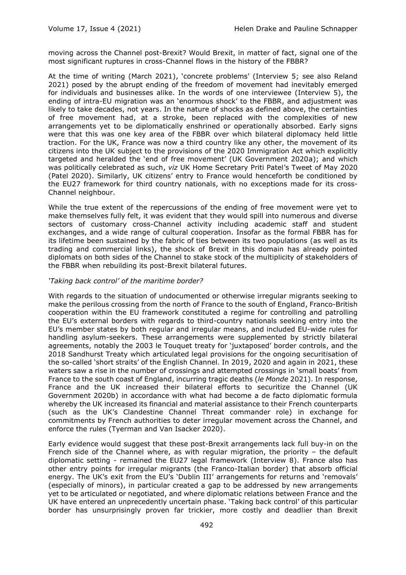moving across the Channel post-Brexit? Would Brexit, in matter of fact, signal one of the most significant ruptures in cross-Channel flows in the history of the FBBR?

At the time of writing (March 2021), 'concrete problems' (Interview 5; see also Reland 2021) posed by the abrupt ending of the freedom of movement had inevitably emerged for individuals and businesses alike. In the words of one interviewee (Interview 5), the ending of intra-EU migration was an 'enormous shock' to the FBBR, and adjustment was likely to take decades, not years. In the nature of shocks as defined above, the certainties of free movement had, at a stroke, been replaced with the complexities of new arrangements yet to be diplomatically enshrined or operationally absorbed. Early signs were that this was one key area of the FBBR over which bilateral diplomacy held little traction. For the UK, France was now a third country like any other, the movement of its citizens into the UK subject to the provisions of the 2020 Immigration Act which explicitly targeted and heralded the 'end of free movement' (UK Government 2020a); and which was politically celebrated as such, *viz* UK Home Secretary Priti Patel's Tweet of May 2020 (Patel 2020). Similarly, UK citizens' entry to France would henceforth be conditioned by the EU27 framework for third country nationals, with no exceptions made for its cross-Channel neighbour.

While the true extent of the repercussions of the ending of free movement were yet to make themselves fully felt, it was evident that they would spill into numerous and diverse sectors of customary cross-Channel activity including academic staff and student exchanges, and a wide range of cultural cooperation. Insofar as the formal FBBR has for its lifetime been sustained by the fabric of ties between its two populations (as well as its trading and commercial links), the shock of Brexit in this domain has already pointed diplomats on both sides of the Channel to stake stock of the multiplicity of stakeholders of the FBBR when rebuilding its post-Brexit bilateral futures.

## *'Taking back control' of the maritime border?*

With regards to the situation of undocumented or otherwise irregular migrants seeking to make the perilous crossing from the north of France to the south of England, Franco-British cooperation within the EU framework constituted a regime for controlling and patrolling the EU's external borders with regards to third-country nationals seeking entry into the EU's member states by both regular and irregular means, and included EU-wide rules for handling asylum-seekers. These arrangements were supplemented by strictly bilateral agreements, notably the 2003 le Touquet treaty for 'juxtaposed' border controls, and the 2018 Sandhurst Treaty which articulated legal provisions for the ongoing securitisation of the so-called 'short straits' of the English Channel. In 2019, 2020 and again in 2021, these waters saw a rise in the number of crossings and attempted crossings in 'small boats' from France to the south coast of England, incurring tragic deaths (*le Monde* 2021). In response, France and the UK increased their bilateral efforts to securitize the Channel (UK Government 2020b) in accordance with what had become a de facto diplomatic formula whereby the UK increased its financial and material assistance to their French counterparts (such as the UK's Clandestine Channel Threat commander role) in exchange for commitments by French authorities to deter irregular movement across the Channel, and enforce the rules (Tyerman and Van Isacker 2020).

Early evidence would suggest that these post-Brexit arrangements lack full buy-in on the French side of the Channel where, as with regular migration, the priority – the default diplomatic setting - remained the EU27 legal framework (Interview 8). France also has other entry points for irregular migrants (the Franco-Italian border) that absorb official energy. The UK's exit from the EU's 'Dublin III' arrangements for returns and 'removals' (especially of minors), in particular created a gap to be addressed by new arrangements yet to be articulated or negotiated, and where diplomatic relations between France and the UK have entered an unprecedently uncertain phase. 'Taking back control' of this particular border has unsurprisingly proven far trickier, more costly and deadlier than Brexit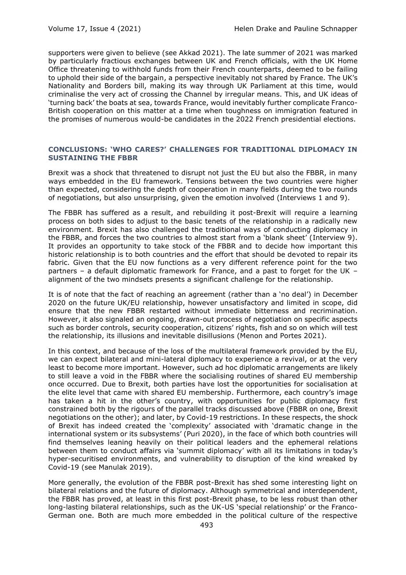supporters were given to believe (see Akkad 2021). The late summer of 2021 was marked by particularly fractious exchanges between UK and French officials, with the UK Home Office threatening to withhold funds from their French counterparts, deemed to be failing to uphold their side of the bargain, a perspective inevitably not shared by France. The UK's Nationality and Borders bill, making its way through UK Parliament at this time, would criminalise the very act of crossing the Channel by irregular means. This, and UK ideas of 'turning back' the boats at sea, towards France, would inevitably further complicate Franco-British cooperation on this matter at a time when toughness on immigration featured in the promises of numerous would-be candidates in the 2022 French presidential elections.

## **CONCLUSIONS: 'WHO CARES?' CHALLENGES FOR TRADITIONAL DIPLOMACY IN SUSTAINING THE FBBR**

Brexit was a shock that threatened to disrupt not just the EU but also the FBBR, in many ways embedded in the EU framework. Tensions between the two countries were higher than expected, considering the depth of cooperation in many fields during the two rounds of negotiations, but also unsurprising, given the emotion involved (Interviews 1 and 9).

The FBBR has suffered as a result, and rebuilding it post-Brexit will require a learning process on both sides to adjust to the basic tenets of the relationship in a radically new environment. Brexit has also challenged the traditional ways of conducting diplomacy in the FBBR, and forces the two countries to almost start from a 'blank sheet' (Interview 9). It provides an opportunity to take stock of the FBBR and to decide how important this historic relationship is to both countries and the effort that should be devoted to repair its fabric. Given that the EU now functions as a very different reference point for the two partners – a default diplomatic framework for France, and a past to forget for the UK – alignment of the two mindsets presents a significant challenge for the relationship.

It is of note that the fact of reaching an agreement (rather than a 'no deal') in December 2020 on the future UK/EU relationship, however unsatisfactory and limited in scope, did ensure that the new FBBR restarted without immediate bitterness and recrimination. However, it also signaled an ongoing, drawn-out process of negotiation on specific aspects such as border controls, security cooperation, citizens' rights, fish and so on which will test the relationship, its illusions and inevitable disillusions (Menon and Portes 2021).

In this context, and because of the loss of the multilateral framework provided by the EU, we can expect bilateral and mini-lateral diplomacy to experience a revival, or at the very least to become more important. However, such ad hoc diplomatic arrangements are likely to still leave a void in the FBBR where the socialising routines of shared EU membership once occurred. Due to Brexit, both parties have lost the opportunities for socialisation at the elite level that came with shared EU membership. Furthermore, each country's image has taken a hit in the other's country, with opportunities for public diplomacy first constrained both by the rigours of the parallel tracks discussed above (FBBR on one, Brexit negotiations on the other); and later, by Covid-19 restrictions. In these respects, the shock of Brexit has indeed created the 'complexity' associated with 'dramatic change in the international system or its subsystems' (Puri 2020), in the face of which both countries will find themselves leaning heavily on their political leaders and the ephemeral relations between them to conduct affairs via 'summit diplomacy' with all its limitations in today's hyper-securitised environments, and vulnerability to disruption of the kind wreaked by Covid-19 (see Manulak 2019).

More generally, the evolution of the FBBR post-Brexit has shed some interesting light on bilateral relations and the future of diplomacy. Although symmetrical and interdependent, the FBBR has proved, at least in this first post-Brexit phase, to be less robust than other long-lasting bilateral relationships, such as the UK-US 'special relationship' or the Franco-German one. Both are much more embedded in the political culture of the respective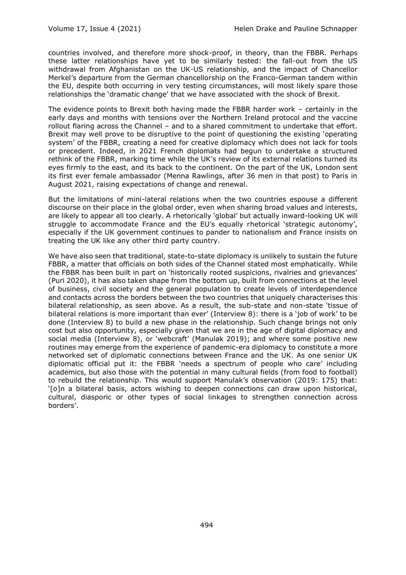countries involved, and therefore more shock-proof, in theory, than the FBBR. Perhaps these latter relationships have yet to be similarly tested: the fall-out from the US withdrawal from Afghanistan on the UK-US relationship, and the impact of Chancellor Merkel's departure from the German chancellorship on the Franco-German tandem within the EU, despite both occurring in very testing circumstances, will most likely spare those relationships the 'dramatic change' that we have associated with the shock of Brexit.

The evidence points to Brexit both having made the FBBR harder work – certainly in the early days and months with tensions over the Northern Ireland protocol and the vaccine rollout flaring across the Channel – and to a shared commitment to undertake that effort. Brexit may well prove to be disruptive to the point of questioning the existing 'operating system' of the FBBR, creating a need for creative diplomacy which does not lack for tools or precedent. Indeed, in 2021 French diplomats had begun to undertake a structured rethink of the FBBR, marking time while the UK's review of its external relations turned its eyes firmly to the east, and its back to the continent. On the part of the UK, London sent its first ever female ambassador (Menna Rawlings, after 36 men in that post) to Paris in August 2021, raising expectations of change and renewal.

But the limitations of mini-lateral relations when the two countries espouse a different discourse on their place in the global order, even when sharing broad values and interests, are likely to appear all too clearly. A rhetorically 'global' but actually inward-looking UK will struggle to accommodate France and the EU's equally rhetorical 'strategic autonomy', especially if the UK government continues to pander to nationalism and France insists on treating the UK like any other third party country.

We have also seen that traditional, state-to-state diplomacy is unlikely to sustain the future FBBR, a matter that officials on both sides of the Channel stated most emphatically. While the FBBR has been built in part on 'historically rooted suspicions, rivalries and grievances' (Puri 2020), it has also taken shape from the bottom up, built from connections at the level of business, civil society and the general population to create levels of interdependence and contacts across the borders between the two countries that uniquely characterises this bilateral relationship, as seen above. As a result, the sub-state and non-state 'tissue of bilateral relations is more important than ever' (Interview 8): there is a 'job of work' to be done (Interview 8) to build a new phase in the relationship. Such change brings not only cost but also opportunity, especially given that we are in the age of digital diplomacy and social media (Interview 8), or 'webcraft' (Manulak 2019); and where some positive new routines may emerge from the experience of pandemic-era diplomacy to constitute a more networked set of diplomatic connections between France and the UK. As one senior UK diplomatic official put it: the FBBR 'needs a spectrum of people who care' including academics, but also those with the potential in many cultural fields (from food to football) to rebuild the relationship. This would support Manulak's observation (2019: 175) that: '[o]n a bilateral basis, actors wishing to deepen connections can draw upon historical, cultural, diasporic or other types of social linkages to strengthen connection across borders'.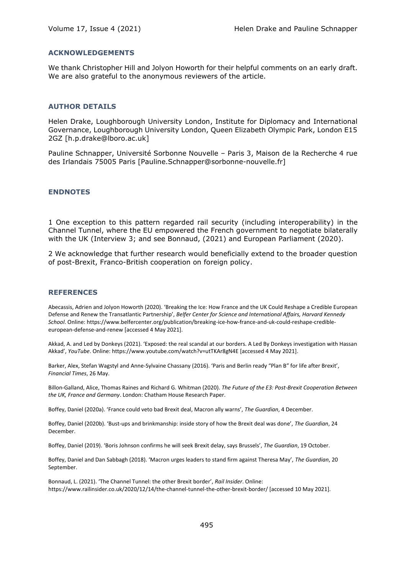## **ACKNOWLEDGEMENTS**

We thank Christopher Hill and Jolyon Howorth for their helpful comments on an early draft. We are also grateful to the anonymous reviewers of the article.

### **AUTHOR DETAILS**

Helen Drake, Loughborough University London, Institute for Diplomacy and International Governance, Loughborough University London, Queen Elizabeth Olympic Park, London E15 2GZ [h.p.drake@lboro.ac.uk]

Pauline Schnapper, Université Sorbonne Nouvelle – Paris 3, Maison de la Recherche 4 rue des Irlandais 75005 Paris [Pauline.Schnapper@sorbonne-nouvelle.fr]

## **ENDNOTES**

1 One exception to this pattern regarded rail security (including interoperability) in the Channel Tunnel, where the EU empowered the French government to negotiate bilaterally with the UK (Interview 3; and see Bonnaud, (2021) and European Parliament (2020).

2 We acknowledge that further research would beneficially extend to the broader question of post-Brexit, Franco-British cooperation on foreign policy.

### **REFERENCES**

Abecassis, Adrien and Jolyon Howorth (2020). 'Breaking the Ice: How France and the UK Could Reshape a Credible European Defense and Renew the Transatlantic Partnership', *Belfer Center for Science and International Affairs, Harvard Kennedy School*. Online: https://www.belfercenter.org/publication/breaking-ice-how-france-and-uk-could-reshape-credibleeuropean-defense-and-renew [accessed 4 May 2021].

Akkad, A. and Led by Donkeys (2021). 'Exposed: the real scandal at our borders. A Led By Donkeys investigation with Hassan Akkad', *YouTube*. Online: https://www.youtube.com/watch?v=utTKAr8gN4E [accessed 4 May 2021].

Barker, Alex, Stefan Wagstyl and Anne-Sylvaine Chassany (2016). 'Paris and Berlin ready "Plan B" for life after Brexit', *Financial Times*, 26 May.

Billon-Galland, Alice, Thomas Raines and Richard G. Whitman (2020). *The Future of the E3: Post-Brexit Cooperation Between the UK, France and Germany*. London: Chatham House Research Paper.

Boffey, Daniel (2020a). 'France could veto bad Brexit deal, Macron ally warns', *The Guardian*, 4 December.

Boffey, Daniel (2020b). 'Bust-ups and brinkmanship: inside story of how the Brexit deal was done', *The Guardian*, 24 December.

Boffey, Daniel (2019). 'Boris Johnson confirms he will seek Brexit delay, says Brussels', *The Guardian*, 19 October.

Boffey, Daniel and Dan Sabbagh (2018). 'Macron urges leaders to stand firm against Theresa May', *The Guardian*, 20 September.

Bonnaud, L. (2021). 'The Channel Tunnel: the other Brexit border', *Rail Insider*. Online: https://www.railinsider.co.uk/2020/12/14/the-channel-tunnel-the-other-brexit-border/ [accessed 10 May 2021].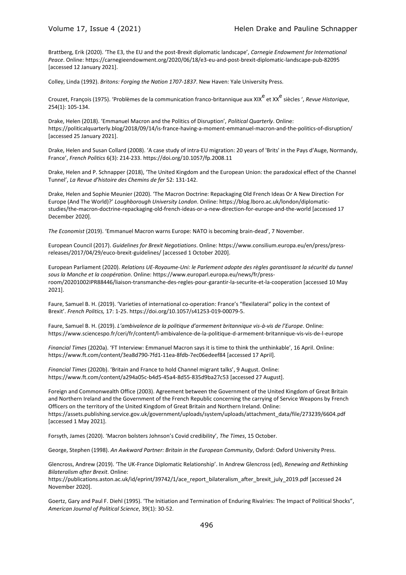Brattberg, Erik (2020). 'The E3, the EU and the post-Brexit diplomatic landscape', *Carnegie Endowment for International Peace*. Online: https://carnegieendowment.org/2020/06/18/e3-eu-and-post-brexit-diplomatic-landscape-pub-82095 [accessed 12 January 2021].

Colley, Linda (1992). *Britons: Forging the Nation 1707-1837*. New Haven: Yale University Press.

Crouzet, François (1975). 'Problèmes de la communication franco-britannique aux XIX<sup>e</sup> et XX<sup>e</sup> siècles ', *Revue Historique*, 254(1): 105-134.

Drake, Helen (2018). 'Emmanuel Macron and the Politics of Disruption', *Political Quarterly*. Online: https://politicalquarterly.blog/2018/09/14/is-france-having-a-moment-emmanuel-macron-and-the-politics-of-disruption/ [accessed 25 January 2021].

Drake, Helen and Susan Collard (2008). 'A case study of intra-EU migration: 20 years of 'Brits' in the Pays d'Auge, Normandy, France', *French Politics* 6(3): 214-233. https://doi.org/10.1057/fp.2008.11

Drake, Helen and P. Schnapper (2018), 'The United Kingdom and the European Union: the paradoxical effect of the Channel Tunnel', *La Revue d'histoire des Chemins de fer* 52: 131-142.

Drake, Helen and Sophie Meunier (2020). 'The Macron Doctrine: Repackaging Old French Ideas Or A New Direction For Europe (And The World)?' *Loughborough University London*. Online: https://blog.lboro.ac.uk/london/diplomaticstudies/the-macron-doctrine-repackaging-old-french-ideas-or-a-new-direction-for-europe-and-the-world [accessed 17 December 2020].

*The Economist* (2019). 'Emmanuel Macron warns Europe: NATO is becoming brain-dead', 7 November.

European Council (2017). *Guidelines for Brexit Negotiations*. Online: https://www.consilium.europa.eu/en/press/pressreleases/2017/04/29/euco-brexit-guidelines/ [accessed 1 October 2020].

European Parliament (2020). *Relations UE-Royaume-Uni: le Parlement adopte des règles garantissant la sécurité du tunnel sous la Manche et la coopération*. Online: https://www.europarl.europa.eu/news/fr/pressroom/20201002IPR88446/liaison-transmanche-des-regles-pour-garantir-la-securite-et-la-cooperation [accessed 10 May 2021].

Faure, Samuel B. H. (2019). 'Varieties of international co-operation: France's "flexilateral" policy in the context of Brexit'. *French Politics,* 17: 1-25. https://doi.org/10.1057/s41253-019-00079-5.

Faure, Samuel B. H. (2019). *L'ambivalence de la politique d'armement britannique vis-à-vis de l'Europe*. Online: https://www.sciencespo.fr/ceri/fr/content/l-ambivalence-de-la-politique-d-armement-britannique-vis-vis-de-l-europe

*Financial Times* (2020a). 'FT Interview: Emmanuel Macron says it is time to think the unthinkable', 16 April. Online: https://www.ft.com/content/3ea8d790-7fd1-11ea-8fdb-7ec06edeef84 [accessed 17 April].

*Financial Times* (2020b). 'Britain and France to hold Channel migrant talks', 9 August. Online: https://www.ft.com/content/a294a05c-b4d5-45a4-8d55-835d9ba27c53 [accessed 27 August].

Foreign and Commonwealth Office (2003). Agreement between the Government of the United Kingdom of Great Britain and Northern Ireland and the Government of the French Republic concerning the carrying of Service Weapons by French Officers on the territory of the United Kingdom of Great Britain and Northern Ireland. Online: https://assets.publishing.service.gov.uk/government/uploads/system/uploads/attachment\_data/file/273239/6604.pdf [accessed 1 May 2021].

Forsyth, James (2020). 'Macron bolsters Johnson's Covid credibility', *The Times*, 15 October.

George, Stephen (1998). *An Awkward Partner: Britain in the European Community*, Oxford: Oxford University Press.

Glencross, Andrew (2019). 'The UK-France Diplomatic Relationship'. In Andrew Glencross (ed), *Renewing and Rethinking Bilateralism after Brexit*. Online:

https://publications.aston.ac.uk/id/eprint/39742/1/ace\_report\_bilateralism\_after\_brexit\_july\_2019.pdf [accessed 24 November 2020].

Goertz, Gary and Paul F. Diehl (1995). 'The Initiation and Termination of Enduring Rivalries: The Impact of Political Shocks", *American Journal of Political Science*, 39(1): 30-52.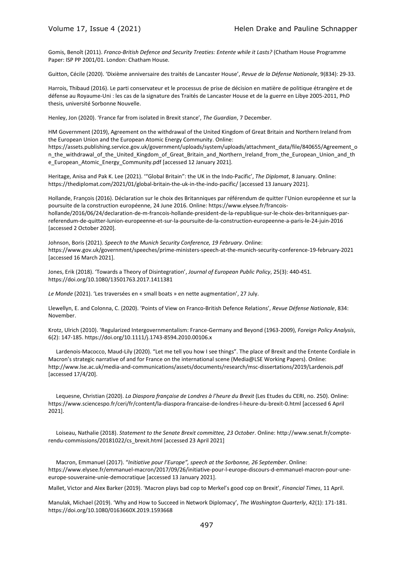Gomis, Benoît (2011). *Franco-British Defence and Security Treaties: Entente while it Lasts?* (Chatham House Programme Paper: ISP PP 2001/01. London: Chatham House.

Guitton, Cécile (2020). 'Dixième anniversaire des traités de Lancaster House', *Revue de la Défense Nationale*, 9(834): 29-33.

Harrois, Thibaud (2016). Le parti conservateur et le processus de prise de décision en matière de politique étrangère et de défense au Royaume-Uni : les cas de la signature des Traités de Lancaster House et de la guerre en Libye 2005-2011, PhD thesis, université Sorbonne Nouvelle.

Henley, Jon (2020). 'France far from isolated in Brexit stance', *The Guardian*, 7 December.

HM Government (2019), Agreement on the withdrawal of the United Kingdom of Great Britain and Northern Ireland from the European Union and the European Atomic Energy Community. Online: https://assets.publishing.service.gov.uk/government/uploads/system/uploads/attachment\_data/file/840655/Agreement\_o n\_the\_withdrawal\_of\_the\_United\_Kingdom\_of\_Great\_Britain\_and\_Northern\_Ireland\_from\_the\_European\_Union\_and\_th e European Atomic Energy Community.pdf [accessed 12 January 2021].

Heritage, Anisa and Pak K. Lee (2021). '"Global Britain": the UK in the Indo-Pacific', *The Diplomat*, 8 January. Online: https://thediplomat.com/2021/01/global-britain-the-uk-in-the-indo-pacific/ [accessed 13 January 2021].

Hollande, François (2016). Déclaration sur le choix des Britanniques par référendum de quitter l'Union européenne et sur la poursuite de la construction européenne, 24 June 2016. Online: https://www.elysee.fr/francoishollande/2016/06/24/declaration-de-m-francois-hollande-president-de-la-republique-sur-le-choix-des-britanniques-parreferendum-de-quitter-lunion-europeenne-et-sur-la-poursuite-de-la-construction-europeenne-a-paris-le-24-juin-2016 [accessed 2 October 2020].

Johnson, Boris (2021). *Speech to the Munich Security Conference, 19 February*. Online: https://www.gov.uk/government/speeches/prime-ministers-speech-at-the-munich-security-conference-19-february-2021 [accessed 16 March 2021].

Jones, Erik (2018). 'Towards a Theory of Disintegration', *Journal of European Public Policy*, 25(3): 440-451. https://doi.org/10.1080/13501763.2017.1411381

*Le Monde* (2021). 'Les traversées en « small boats » en nette augmentation', 27 July.

Llewellyn, E. and Colonna, C. (2020). 'Points of View on Franco-British Defence Relations', *Revue Défense Nationale*, 834: November.

Krotz, Ulrich (2010). 'Regularized Intergovernmentalism: France-Germany and Beyond (1963-2009), *Foreign Policy Analysis*, 6(2): 147-185. https://doi.org/10.1111/j.1743-8594.2010.00106.x

Lardenois-Macocco, Maud-Lily (2020). "Let me tell you how I see things". The place of Brexit and the Entente Cordiale in Macron's strategic narrative of and for France on the international scene (Media@LSE Working Papers). Online: http://www.lse.ac.uk/media-and-communications/assets/documents/research/msc-dissertations/2019/Lardenois.pdf [accessed 17/4/20].

Lequesne, Christian (2020). *La Diaspora française de Londres à l'heure du Brexit* (Les Etudes du CERI, no. 250). Online: https://www.sciencespo.fr/ceri/fr/content/la-diaspora-francaise-de-londres-l-heure-du-brexit-0.html [accessed 6 April 2021].

Loiseau, Nathalie (2018). *Statement to the Senate Brexit committee, 23 October*. Online: http://www.senat.fr/compterendu-commissions/20181022/cs\_brexit.html [accessed 23 April 2021]

Macron, Emmanuel (2017). "*Initiative pour l'Europe", speech at the Sorbonne, 26 September*. Online: https://www.elysee.fr/emmanuel-macron/2017/09/26/initiative-pour-l-europe-discours-d-emmanuel-macron-pour-uneeurope-souveraine-unie-democratique [accessed 13 January 2021].

Mallet, Victor and Alex Barker (2019). 'Macron plays bad cop to Merkel's good cop on Brexit', *Financial Times*, 11 April.

Manulak, Michael (2019). 'Why and How to Succeed in Network Diplomacy', *The Washington Quarterly*, 42(1): 171-181. https://doi.org/10.1080/0163660X.2019.1593668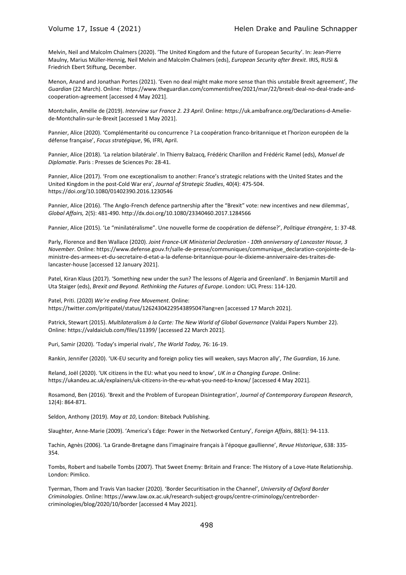Melvin, Neil and Malcolm Chalmers (2020). 'The United Kingdom and the future of European Security'. In: Jean-Pierre Maulny, Marius Müller-Hennig, Neil Melvin and Malcolm Chalmers (eds), *European Security after Brexit*. IRIS, RUSI & Friedrich Ebert Stiftung, December.

Menon, Anand and Jonathan Portes (2021). 'Even no deal might make more sense than this unstable Brexit agreement', *The Guardian* (22 March). Online: https://www.theguardian.com/commentisfree/2021/mar/22/brexit-deal-no-deal-trade-andcooperation-agreement [accessed 4 May 2021].

Montchalin, Amélie de (2019). *Interview sur France 2. 23 April*. Online: https://uk.ambafrance.org/Declarations-d-Ameliede-Montchalin-sur-le-Brexit [accessed 1 May 2021].

Pannier, Alice (2020). 'Complémentarité ou concurrence ? La coopération franco-britannique et l'horizon européen de la défense française', *Focus stratégique*, 96, IFRI, April.

Pannier, Alice (2018). 'La relation bilatérale'. In Thierry Balzacq, Frédéric Charillon and Frédéric Ramel (eds), *Manuel de Diplomatie*. Paris : Presses de Sciences Po: 28-41.

Pannier, Alice (2017). 'From one exceptionalism to another: France's strategic relations with the United States and the United Kingdom in the post-Cold War era', *Journal of Strategic Studies*, 40(4): 475-504. https://doi.org/10.1080/01402390.2016.1230546

Pannier, Alice (2016). 'The Anglo-French defence partnership after the "Brexit" vote: new incentives and new dilemmas', *Global Affairs,* 2(5): 481-490. http://dx.doi.org/10.1080/23340460.2017.1284566

Pannier, Alice (2015). 'Le "minilatéralisme". Une nouvelle forme de coopération de défense?', *Politique étrangère*, 1: 37-48.

Parly, Florence and Ben Wallace (2020). *Joint France-UK Ministerial Declaration - 10th anniversary of Lancaster House, 3 November*. Online: https://www.defense.gouv.fr/salle-de-presse/communiques/communique\_declaration-conjointe-de-laministre-des-armees-et-du-secretaire-d-etat-a-la-defense-britannique-pour-le-dixieme-anniversaire-des-traites-delancaster-house [accessed 12 January 2021].

Patel, Kiran Klaus (2017). 'Something new under the sun? The lessons of Algeria and Greenland'. In Benjamin Martill and Uta Staiger (eds), *Brexit and Beyond. Rethinking the Futures of Europe*. London: UCL Press: 114-120.

Patel, Priti. (2020) *We're ending Free Movement*. Online: https://twitter.com/pritipatel/status/1262430422954389504?lang=en [accessed 17 March 2021].

Patrick, Stewart (2015). *Multilateralism à la Carte: The New World of Global Governance* (Valdai Papers Number 22). Online: https://valdaiclub.com/files/11399/ [accessed 22 March 2021].

Puri, Samir (2020). 'Today's imperial rivals', *The World Today,* 76: 16-19.

Rankin, Jennifer (2020). 'UK-EU security and foreign policy ties will weaken, says Macron ally', *The Guardian*, 16 June.

Reland, Joël (2020). 'UK citizens in the EU: what you need to know', *UK in a Changing Europe*. Online: https://ukandeu.ac.uk/explainers/uk-citizens-in-the-eu-what-you-need-to-know/ [accessed 4 May 2021].

Rosamond, Ben (2016). 'Brexit and the Problem of European Disintegration', *Journal of Contemporary European Research*, 12(4): 864-871.

Seldon, Anthony (2019). *May at 10*, London: Biteback Publishing.

Slaughter, Anne-Marie (2009). 'America's Edge: Power in the Networked Century', *Foreign Affairs*, 88(1): 94-113.

Tachin, Agnès (2006). 'La Grande-Bretagne dans l'imaginaire français à l'époque gaullienne', *Revue Historique*, 638: 335- 354.

Tombs, Robert and Isabelle Tombs (2007). That Sweet Enemy: Britain and France: The History of a Love-Hate Relationship. London: Pimlico.

Tyerman, Thom and Travis Van Isacker (2020). 'Border Securitisation in the Channel', *University of Oxford Border Criminologies*. Online: https://www.law.ox.ac.uk/research-subject-groups/centre-criminology/centrebordercriminologies/blog/2020/10/border [accessed 4 May 2021].